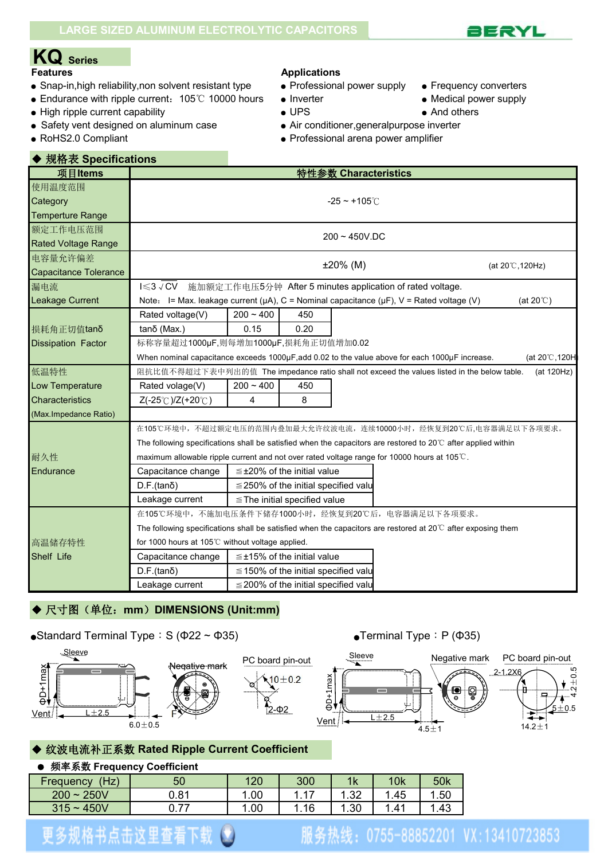# **KQ Series**

- Snap-in,high reliability,non solvent resistant type Professional power supply Frequency converters
- Endurance with ripple current: 105℃ 10000 hours Inverter Nedical power supply
- High ripple current capability  $\bullet$  UPS  $\bullet$  And others
- Safety vent designed on aluminum case • Air conditioner, general purpose inverter
	-

#### **Features Applications**

- 
- 
- 
- 
- 
- 
- RoHS2.0 Compliant 
Professional arena power amplifier

| ◆ 规格表 Specifications       |                                                                                                                        |                                  |                                            |                      |                                                                                                     |                     |  |  |
|----------------------------|------------------------------------------------------------------------------------------------------------------------|----------------------------------|--------------------------------------------|----------------------|-----------------------------------------------------------------------------------------------------|---------------------|--|--|
| 项目Items                    |                                                                                                                        |                                  |                                            | 特性参数 Characteristics |                                                                                                     |                     |  |  |
| 使用温度范围                     |                                                                                                                        |                                  |                                            |                      |                                                                                                     |                     |  |  |
| Category                   |                                                                                                                        |                                  |                                            | $-25 - +105^{\circ}$ |                                                                                                     |                     |  |  |
| <b>Temperture Range</b>    |                                                                                                                        |                                  |                                            |                      |                                                                                                     |                     |  |  |
| 额定工作电压范围                   |                                                                                                                        |                                  |                                            | $200 - 450V$ .DC     |                                                                                                     |                     |  |  |
| <b>Rated Voltage Range</b> |                                                                                                                        |                                  |                                            |                      |                                                                                                     |                     |  |  |
| 电容量允许偏差                    |                                                                                                                        |                                  |                                            | $±20\%$ (M)          |                                                                                                     | (at 20°C, 120Hz)    |  |  |
| Capacitance Tolerance      |                                                                                                                        |                                  |                                            |                      |                                                                                                     |                     |  |  |
| 漏电流                        | $I \leqslant 3 \vee CV$                                                                                                |                                  |                                            |                      | 施加额定工作电压5分钟 After 5 minutes application of rated voltage.                                           |                     |  |  |
| Leakage Current            |                                                                                                                        |                                  |                                            |                      | Note: I= Max. leakage current ( $\mu$ A), C = Nominal capacitance ( $\mu$ F), V = Rated voltage (V) | (at 20 $\degree$ C) |  |  |
|                            | Rated voltage(V)                                                                                                       | $200 - 400$                      | 450                                        |                      |                                                                                                     |                     |  |  |
| 损耗角正切值tanδ                 | $tan\delta$ (Max.)                                                                                                     | 0.15                             | 0.20                                       |                      |                                                                                                     |                     |  |  |
| <b>Dissipation Factor</b>  | 标称容量超过1000µF,则每增加1000µF,损耗角正切值增加0.02                                                                                   |                                  |                                            |                      |                                                                                                     |                     |  |  |
|                            | When nominal capacitance exceeds 1000µF, add 0.02 to the value above for each 1000µF increase.<br>(at 20°C, 120H       |                                  |                                            |                      |                                                                                                     |                     |  |  |
| 低温特性                       | 阻抗比值不得超过下表中列出的值 The impedance ratio shall not exceed the values listed in the below table.<br>(at 120Hz)               |                                  |                                            |                      |                                                                                                     |                     |  |  |
| Low Temperature            | Rated volage(V)                                                                                                        | $200 - 400$                      | 450                                        |                      |                                                                                                     |                     |  |  |
| Characteristics            | $Z(-25^{\circ}\text{C})/Z(+20^{\circ}\text{C})$                                                                        | 4                                | 8                                          |                      |                                                                                                     |                     |  |  |
| (Max.Impedance Ratio)      |                                                                                                                        |                                  |                                            |                      |                                                                                                     |                     |  |  |
|                            |                                                                                                                        |                                  |                                            |                      | 在105℃环境中,不超过额定电压的范围内叠加最大允许纹波电流,连续10000小时,经恢复到20℃后,电容器满足以下各项要求。                                      |                     |  |  |
|                            | The following specifications shall be satisfied when the capacitors are restored to 20°C after applied within          |                                  |                                            |                      |                                                                                                     |                     |  |  |
| 耐久性                        |                                                                                                                        |                                  |                                            |                      | maximum allowable ripple current and not over rated voltage range for 10000 hours at 105℃.          |                     |  |  |
| Endurance                  | Capacitance change                                                                                                     |                                  | $\leq$ ±20% of the initial value           |                      |                                                                                                     |                     |  |  |
|                            | $D.F.(tan\delta)$                                                                                                      |                                  | $\leq$ 250% of the initial specified value |                      |                                                                                                     |                     |  |  |
|                            | Leakage current                                                                                                        |                                  | $\le$ The initial specified value          |                      |                                                                                                     |                     |  |  |
|                            | 在105℃环境中,不施加电压条件下储存1000小时,经恢复到20℃后,电容器满足以下各项要求。                                                                        |                                  |                                            |                      |                                                                                                     |                     |  |  |
|                            | The following specifications shall be satisfied when the capacitors are restored at $20^{\circ}$ C after exposing them |                                  |                                            |                      |                                                                                                     |                     |  |  |
| 高温储存特性                     | for 1000 hours at 105°C without voltage applied.                                                                       |                                  |                                            |                      |                                                                                                     |                     |  |  |
| Shelf Life                 | Capacitance change                                                                                                     | $\leq$ ±15% of the initial value |                                            |                      |                                                                                                     |                     |  |  |
|                            | $D.F.(tan\delta)$                                                                                                      |                                  | $\leq$ 150% of the initial specified valu  |                      |                                                                                                     |                     |  |  |
|                            | Leakage current                                                                                                        |                                  | $\leq$ 200% of the initial specified valu  |                      |                                                                                                     |                     |  |  |

### ◆ 尺寸图(单位: mm) DIMENSIONS (Unit:mm)

#### •Standard Terminal Type: S ( $\Phi$ 22 ~  $\Phi$ 35) • Terminal Type: P ( $\Phi$ 35)







#### ◆ 纹波电流补正系数 **Rated Ripple Current Coefficient**

#### ● 频率系数 **Frequency Coefficient**

| (Hz)<br>Frequency      | 50           | 120   | 300 | 1k          | 10k  | 50k   |
|------------------------|--------------|-------|-----|-------------|------|-------|
| $200 -$<br><b>250V</b> | 0.81         | .00   | 17  | ാറ<br>ےں. ا | . 45 | .50   |
| 450V<br>$315 -$        | 0.77<br>U.II | . .00 | .16 | . .30       | 1.41 | . .43 |

## 更多规格书点击这里查看下载(\*)

### 服务热线: 0755-88852201 VX:13410723853